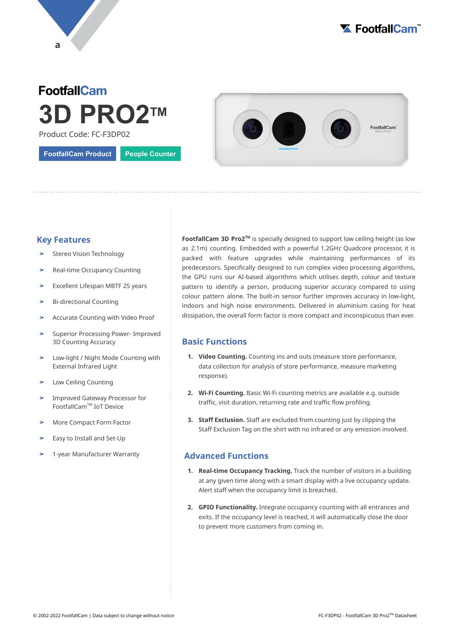



# **FootfallCam 3D PRO2 TM**

Product Code: FC-F3DP02

**FootfallCam Product People Counter**



## **Key Features**

- Stereo Vision Technology
- Real-time Occupancy Counting
- ➤ Excellent Lifespan MBTF 25 years
- ➤ Bi-directional Counting
- ➤ Accurate Counting with Video Proof
- Superior Processing Power- Improved 3D Counting Accuracy
- Low-light / Night Mode Counting with External Infrared Light
- ➤ Low Ceiling Counting
- ➤ Improved Gateway Processor for FootfallCam™ IoT Device
- ➤ More Compact Form Factor
- Easy to Install and Set-Up
- ➤ 1-year Manufacturer Warranty

**FootfallCam 3D Pro2<sup>™</sup> is specially designed to support low ceiling height (as low** as 2.1m) counting. Embedded with a powerful 1.2GHz Quadcore processor, it is packed with feature upgrades while maintaining performances of its predecessors. Specifically designed to run complex video processing algorithms, the GPU runs our AI-based algorithms which utilises depth, colour and texture pattern to identify a person, producing superior accuracy compared to using colour pattern alone. The built-in sensor further improves accuracy in low-light, indoors and high noise environments. Delivered in aluminium casing for heat dissipation, the overall form factor is more compact and inconspicuous than ever.

# **Basic Functions**

- **1. Video Counting.** Counting ins and outs (measure store performance, data collection for analysis of store performance, measure marketing response).
- **2. Wi-Fi Counting.** Basic Wi-Fi counting metrics are available e.g. outside traffic, visit duration, returning rate and traffic flow profiling.
- **3. Staff Exclusion.** Staff are excluded from counting just by clipping the Staff Exclusion Tag on the shirt with no infrared or any emission involved.

### **Advanced Functions**

- **1. Real-time Occupancy Tracking.** Track the number of visitors in a building at any given time along with a smart display with a live occupancy update. Alert staff when the occupancy limit is breached.
- **2. GPIO Functionality.** Integrate occupancy counting with all entrances and exits. If the occupancy level is reached, it will automatically close the door to prevent more customers from coming in.